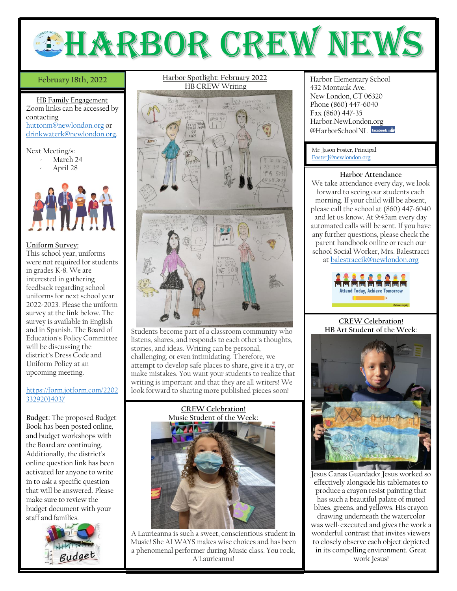

## February 18th, 2022

HB Family Engagement Zoom links can be accessed by contacting [huttonm@newlondon.org](mailto:huttonm@newlondon.org) or [drinkwaterk@newlondon.org.](mailto:drinkwaterk@newlondon.org)

#### Next Meeting/s:

- March 24
- April 28



### **Uniform Survey:**

This school year, uniforms were not required for students in grades K-8. We are interested in gathering feedback regarding school uniforms for next school year 2022-2023. Please the uniform survey at the link below. The survey is available in English and in Spanish. The Board of Education's Policy Committee will be discussing the district's Dress Code and Uniform Policy at an upcoming meeting.

# [https://form.jotform.com/2202](https://form.jotform.com/220233292014037) [33292014037](https://form.jotform.com/220233292014037)

Ι

**Budget**: The proposed Budget Book has been posted online, and budget workshops with the Board are continuing. Additionally, the district's online question link has been activated for anyone to write in to ask a specific question that will be answered. Please make sure to review the budget document with your staff and families.



## **Harbor Spotlight: February 2022 HB CREW** Writing



Students become part of a classroom community who listens, shares, and responds to each other's thoughts, stories, and ideas. Writing can be personal, challenging, or even intimidating. Therefore, we attempt to develop safe places to share, give it a try, or make mistakes. You want your students to realize that writing is important and that they are all writers! We look forward to sharing more published pieces soon!



A'Laurieanna is such a sweet, conscientious student in Music! She ALWAYS makes wise choices and has been a phenomenal performer during Music class. You rock, A'Laurieanna!

Harbor Elementary School 432 Montauk Ave. New London, CT 06320 Phone (860) 447-6040 Fax (860) 447-35 Harbor.NewLondon.org @HarborSchoolNI facebook

Mr. Jason Foster, Principal [FosterJ@newlondon.org](mailto:FosterJ@newlondon.org)

### **Harbor Attendance**

We take attendance every day, we look forward to seeing our students each morning. If your child will be absent, please call the school at (860) 447-6040 and let us know. At 9:45am every day automated calls will be sent. If you have any further questions, please check the parent handbook online or reach our school Social Worker, Mrs. Balestracci at [balestraccik@newlondon.org](mailto:balestraccik@newlondon.org)



#### **CREW Celebration! HB Art Student of the Week**:



Jesus Canas Guardado: Jesus worked so effectively alongside his tablemates to produce a crayon resist painting that has such a beautiful palate of muted blues, greens, and yellows. His crayon drawing underneath the watercolor was well-executed and gives the work a wonderful contrast that invites viewers to closely observe each object depicted in its compelling environment. Great work Jesus!